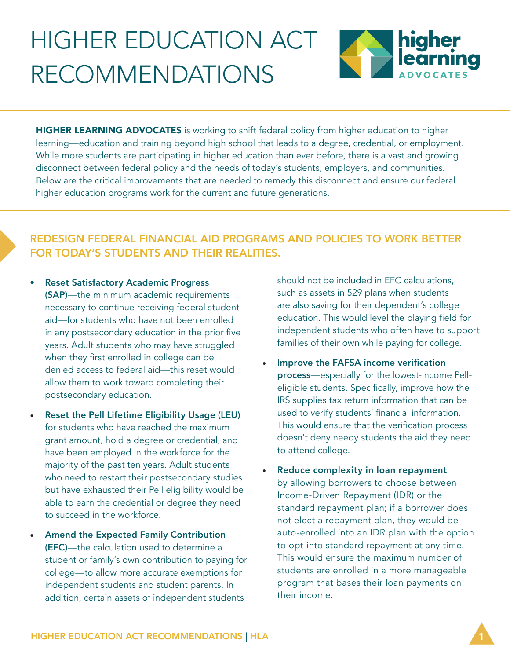# HIGHER EDUCATION ACT RECOMMENDATIONS



HIGHER LEARNING ADVOCATES is working to shift federal policy from higher education to higher learning—education and training beyond high school that leads to a degree, credential, or employment. While more students are participating in higher education than ever before, there is a vast and growing disconnect between federal policy and the needs of today's students, employers, and communities. Below are the critical improvements that are needed to remedy this disconnect and ensure our federal higher education programs work for the current and future generations.

# REDESIGN FEDERAL FINANCIAL AID PROGRAMS AND POLICIES TO WORK BETTER FOR TODAY'S STUDENTS AND THEIR REALITIES.

- Reset Satisfactory Academic Progress (SAP)—the minimum academic requirements necessary to continue receiving federal student aid—for students who have not been enrolled in any postsecondary education in the prior five years. Adult students who may have struggled when they first enrolled in college can be denied access to federal aid—this reset would allow them to work toward completing their postsecondary education.
- Reset the Pell Lifetime Eligibility Usage (LEU) for students who have reached the maximum grant amount, hold a degree or credential, and have been employed in the workforce for the majority of the past ten years. Adult students who need to restart their postsecondary studies but have exhausted their Pell eligibility would be able to earn the credential or degree they need to succeed in the workforce.
- Amend the Expected Family Contribution (EFC)—the calculation used to determine a student or family's own contribution to paying for college—to allow more accurate exemptions for independent students and student parents. In addition, certain assets of independent students

should not be included in EFC calculations, such as assets in 529 plans when students are also saving for their dependent's college education. This would level the playing field for independent students who often have to support families of their own while paying for college.

- Improve the FAFSA income verification process—especially for the lowest-income Pelleligible students. Specifically, improve how the IRS supplies tax return information that can be used to verify students' financial information. This would ensure that the verification process doesn't deny needy students the aid they need to attend college.
- Reduce complexity in loan repayment by allowing borrowers to choose between Income-Driven Repayment (IDR) or the standard repayment plan; if a borrower does not elect a repayment plan, they would be auto-enrolled into an IDR plan with the option to opt-into standard repayment at any time. This would ensure the maximum number of students are enrolled in a more manageable program that bases their loan payments on their income.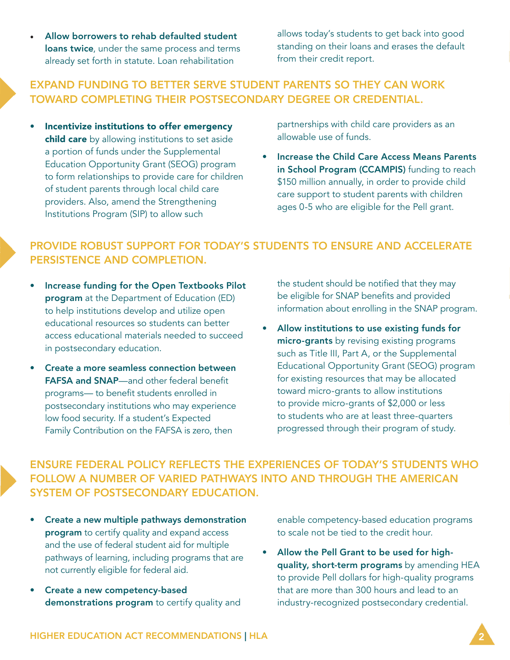• Allow borrowers to rehab defaulted student **loans twice**, under the same process and terms already set forth in statute. Loan rehabilitation

allows today's students to get back into good standing on their loans and erases the default from their credit report.

#### EXPAND FUNDING TO BETTER SERVE STUDENT PARENTS SO THEY CAN WORK TOWARD COMPLETING THEIR POSTSECONDARY DEGREE OR CREDENTIAL.

• Incentivize institutions to offer emergency child care by allowing institutions to set aside a portion of funds under the Supplemental Education Opportunity Grant (SEOG) program to form relationships to provide care for children of student parents through local child care providers. Also, amend the Strengthening Institutions Program (SIP) to allow such

partnerships with child care providers as an allowable use of funds.

• Increase the Child Care Access Means Parents in School Program (CCAMPIS) funding to reach \$150 million annually, in order to provide child care support to student parents with children ages 0-5 who are eligible for the Pell grant.

## PROVIDE ROBUST SUPPORT FOR TODAY'S STUDENTS TO ENSURE AND ACCELERATE PERSISTENCE AND COMPLETION.

- Increase funding for the Open Textbooks Pilot program at the Department of Education (ED) to help institutions develop and utilize open educational resources so students can better access educational materials needed to succeed in postsecondary education.
- Create a more seamless connection between FAFSA and SNAP—and other federal benefit programs— to benefit students enrolled in postsecondary institutions who may experience low food security. If a student's Expected Family Contribution on the FAFSA is zero, then

the student should be notified that they may be eligible for SNAP benefits and provided information about enrolling in the SNAP program.

• Allow institutions to use existing funds for micro-grants by revising existing programs such as Title III, Part A, or the Supplemental Educational Opportunity Grant (SEOG) program for existing resources that may be allocated toward micro-grants to allow institutions to provide micro-grants of \$2,000 or less to students who are at least three-quarters progressed through their program of study.

ENSURE FEDERAL POLICY REFLECTS THE EXPERIENCES OF TODAY'S STUDENTS WHO FOLLOW A NUMBER OF VARIED PATHWAYS INTO AND THROUGH THE AMERICAN SYSTEM OF POSTSECONDARY EDUCATION.

- Create a new multiple pathways demonstration program to certify quality and expand access and the use of federal student aid for multiple pathways of learning, including programs that are not currently eligible for federal aid.
- Create a new competency-based demonstrations program to certify quality and

enable competency-based education programs to scale not be tied to the credit hour.

• Allow the Pell Grant to be used for highquality, short-term programs by amending HEA to provide Pell dollars for high-quality programs that are more than 300 hours and lead to an industry-recognized postsecondary credential.